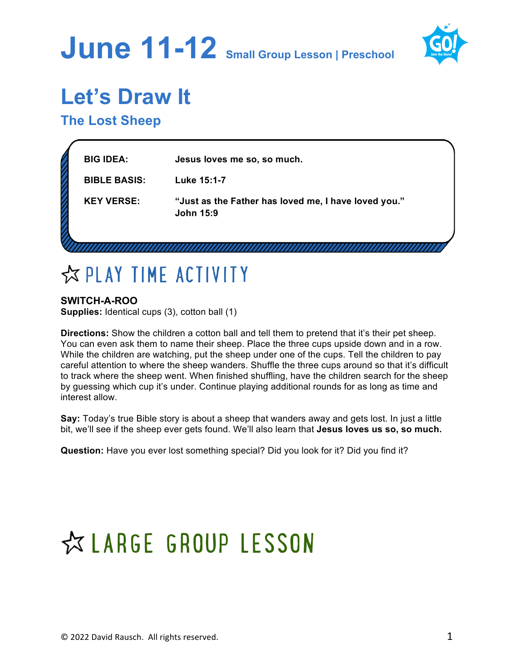# **June 11-12 Small Group Lesson | Preschool**



## **Let's Draw It**

**The Lost Sheep**

| u | <b>BIG IDEA:</b>    | Jesus loves me so, so much.                                              |  |
|---|---------------------|--------------------------------------------------------------------------|--|
|   | <b>BIBLE BASIS:</b> | Luke 15:1-7                                                              |  |
|   | <b>KEY VERSE:</b>   | "Just as the Father has loved me, I have loved you."<br><b>John 15:9</b> |  |
|   |                     |                                                                          |  |

## ☆ PLAY TIME ACTIVITY

**SWITCH-A-ROO Supplies:** Identical cups (3), cotton ball (1)

**Directions:** Show the children a cotton ball and tell them to pretend that it's their pet sheep. You can even ask them to name their sheep. Place the three cups upside down and in a row. While the children are watching, put the sheep under one of the cups. Tell the children to pay careful attention to where the sheep wanders. Shuffle the three cups around so that it's difficult to track where the sheep went. When finished shuffling, have the children search for the sheep by guessing which cup it's under. Continue playing additional rounds for as long as time and interest allow.

**Say:** Today's true Bible story is about a sheep that wanders away and gets lost. In just a little bit, we'll see if the sheep ever gets found. We'll also learn that **Jesus loves us so, so much.**

**Question:** Have you ever lost something special? Did you look for it? Did you find it?

## ☆ LARGE GROUP LESSON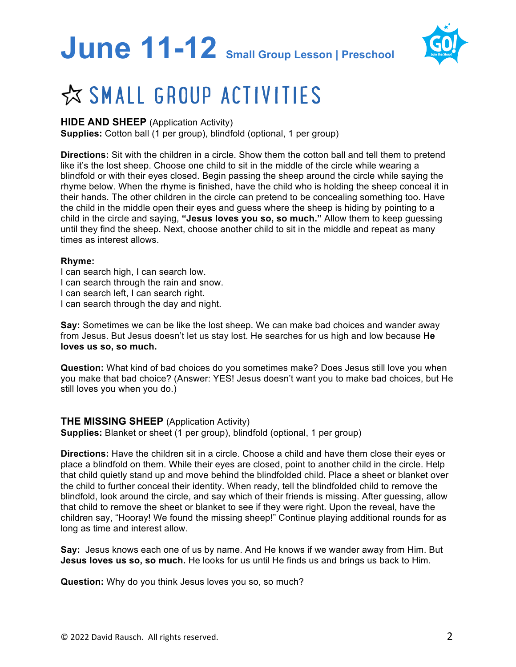# **June 11-12 Small Group Lesson | Preschool**



## ☆ SMALL GROUP ACTIVITIES

#### **HIDE AND SHEEP** (Application Activity)

**Supplies:** Cotton ball (1 per group), blindfold (optional, 1 per group)

**Directions:** Sit with the children in a circle. Show them the cotton ball and tell them to pretend like it's the lost sheep. Choose one child to sit in the middle of the circle while wearing a blindfold or with their eyes closed. Begin passing the sheep around the circle while saying the rhyme below. When the rhyme is finished, have the child who is holding the sheep conceal it in their hands. The other children in the circle can pretend to be concealing something too. Have the child in the middle open their eyes and guess where the sheep is hiding by pointing to a child in the circle and saying, **"Jesus loves you so, so much."** Allow them to keep guessing until they find the sheep. Next, choose another child to sit in the middle and repeat as many times as interest allows.

#### **Rhyme:**

I can search high, I can search low. I can search through the rain and snow. I can search left, I can search right. I can search through the day and night.

**Say:** Sometimes we can be like the lost sheep. We can make bad choices and wander away from Jesus. But Jesus doesn't let us stay lost. He searches for us high and low because **He loves us so, so much.**

**Question:** What kind of bad choices do you sometimes make? Does Jesus still love you when you make that bad choice? (Answer: YES! Jesus doesn't want you to make bad choices, but He still loves you when you do.)

#### **THE MISSING SHEEP** (Application Activity)

**Supplies:** Blanket or sheet (1 per group), blindfold (optional, 1 per group)

**Directions:** Have the children sit in a circle. Choose a child and have them close their eyes or place a blindfold on them. While their eyes are closed, point to another child in the circle. Help that child quietly stand up and move behind the blindfolded child. Place a sheet or blanket over the child to further conceal their identity. When ready, tell the blindfolded child to remove the blindfold, look around the circle, and say which of their friends is missing. After guessing, allow that child to remove the sheet or blanket to see if they were right. Upon the reveal, have the children say, "Hooray! We found the missing sheep!" Continue playing additional rounds for as long as time and interest allow.

**Say:** Jesus knows each one of us by name. And He knows if we wander away from Him. But **Jesus loves us so, so much.** He looks for us until He finds us and brings us back to Him.

**Question:** Why do you think Jesus loves you so, so much?